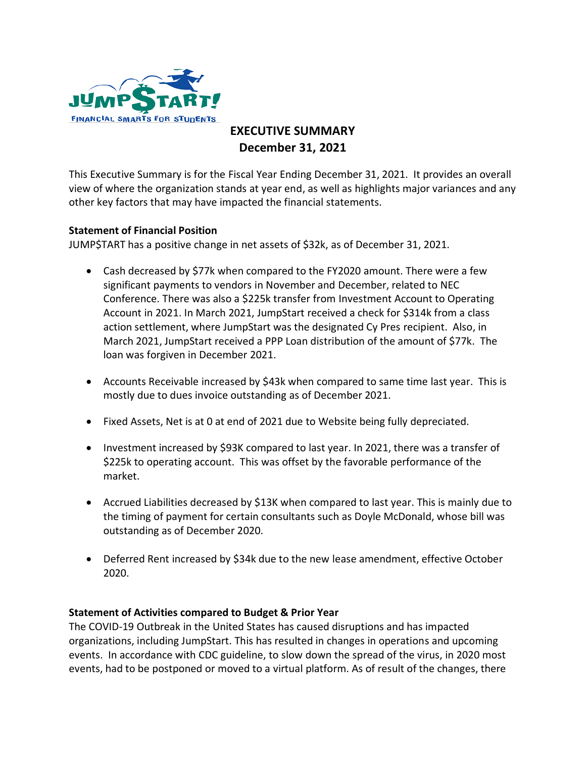

## **EXECUTIVE SUMMARY December 31, 2021**

This Executive Summary is for the Fiscal Year Ending December 31, 2021. It provides an overall view of where the organization stands at year end, as well as highlights major variances and any other key factors that may have impacted the financial statements.

## **Statement of Financial Position**

JUMP\$TART has a positive change in net assets of \$32k, as of December 31, 2021.

- Cash decreased by \$77k when compared to the FY2020 amount. There were a few significant payments to vendors in November and December, related to NEC Conference. There was also a \$225k transfer from Investment Account to Operating Account in 2021. In March 2021, JumpStart received a check for \$314k from a class action settlement, where JumpStart was the designated Cy Pres recipient. Also, in March 2021, JumpStart received a PPP Loan distribution of the amount of \$77k. The loan was forgiven in December 2021.
- Accounts Receivable increased by \$43k when compared to same time last year. This is mostly due to dues invoice outstanding as of December 2021.
- Fixed Assets, Net is at 0 at end of 2021 due to Website being fully depreciated.
- Investment increased by \$93K compared to last year. In 2021, there was a transfer of \$225k to operating account. This was offset by the favorable performance of the market.
- Accrued Liabilities decreased by \$13K when compared to last year. This is mainly due to the timing of payment for certain consultants such as Doyle McDonald, whose bill was outstanding as of December 2020.
- Deferred Rent increased by \$34k due to the new lease amendment, effective October 2020.

## **Statement of Activities compared to Budget & Prior Year**

The COVID-19 Outbreak in the United States has caused disruptions and has impacted organizations, including JumpStart. This has resulted in changes in operations and upcoming events. In accordance with CDC guideline, to slow down the spread of the virus, in 2020 most events, had to be postponed or moved to a virtual platform. As of result of the changes, there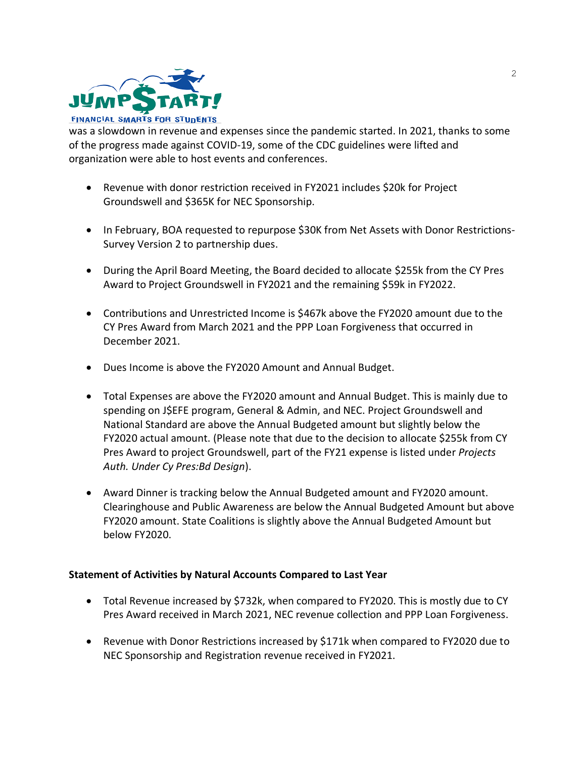

was a slowdown in revenue and expenses since the pandemic started. In 2021, thanks to some of the progress made against COVID-19, some of the CDC guidelines were lifted and organization were able to host events and conferences.

- Revenue with donor restriction received in FY2021 includes \$20k for Project Groundswell and \$365K for NEC Sponsorship.
- In February, BOA requested to repurpose \$30K from Net Assets with Donor Restrictions-Survey Version 2 to partnership dues.
- During the April Board Meeting, the Board decided to allocate \$255k from the CY Pres Award to Project Groundswell in FY2021 and the remaining \$59k in FY2022.
- Contributions and Unrestricted Income is \$467k above the FY2020 amount due to the CY Pres Award from March 2021 and the PPP Loan Forgiveness that occurred in December 2021.
- Dues Income is above the FY2020 Amount and Annual Budget.
- Total Expenses are above the FY2020 amount and Annual Budget. This is mainly due to spending on J\$EFE program, General & Admin, and NEC. Project Groundswell and National Standard are above the Annual Budgeted amount but slightly below the FY2020 actual amount. (Please note that due to the decision to allocate \$255k from CY Pres Award to project Groundswell, part of the FY21 expense is listed under *Projects Auth. Under Cy Pres:Bd Design*).
- Award Dinner is tracking below the Annual Budgeted amount and FY2020 amount. Clearinghouse and Public Awareness are below the Annual Budgeted Amount but above FY2020 amount. State Coalitions is slightly above the Annual Budgeted Amount but below FY2020.

## **Statement of Activities by Natural Accounts Compared to Last Year**

- Total Revenue increased by \$732k, when compared to FY2020. This is mostly due to CY Pres Award received in March 2021, NEC revenue collection and PPP Loan Forgiveness.
- Revenue with Donor Restrictions increased by \$171k when compared to FY2020 due to NEC Sponsorship and Registration revenue received in FY2021.